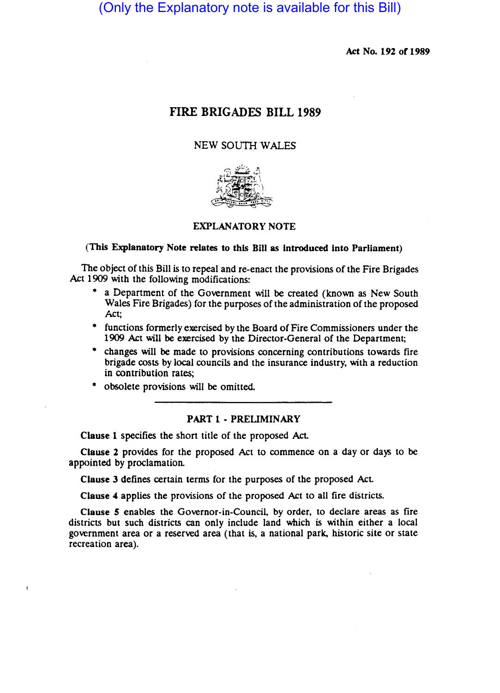(Only the Explanatory note is available for this Bill)

Act No. 192 of 1989

# FIRE BRIGADES BILL 1989

# NEW SOUTH WALES



## EXPLANATORY NOTE

### (This Explanatory Note relates to this Bill as introduced into Parliament)

The Object of this Bill is to repeal and re-enact the provisions of the Fire Brigades Act 1909 with the following modifications:

- a Department of the Government will be created (known as New South Wales Fire Brigades) for the purposes of the administration of the proposed Act;
- functions formerly exercised by the Board of Fire Commissioners under the 1909 Act will be exercised by the Director-General of the Department;
- changes will be made to provisions concerning contributions towards fire brigade costs by local councils and the insurance industry, with a reduction in contribution rates;
- obsolete provisions will be omitted.

 $\mathbf{f}$ 

# PART 1 - PRELIMINARY

Clause 1 specifies the short title of the proposed Act

Clause 2 provides for the proposed Act to commence on a day or days to be appointed by proclamation.

Clause 3 defines certain terms for the purposes of the proposed Act.

Clause 4 applies the provisions of the proposed Act to all fire districts.

Clause 5 enables the Governor-in-Council, by order, to declare areas as fire districts but such districts can only include land which is within either a local government area or a reserved area (that is, a national park, historic site or state recreation area).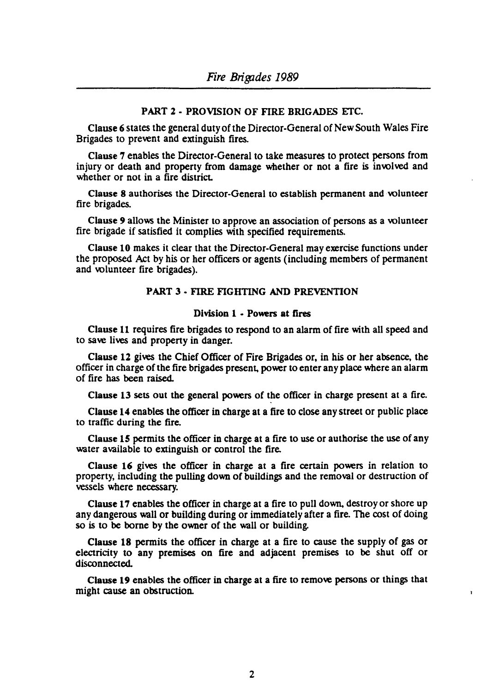# PART 2 - PROVISION OF FIRE BRIGADES ETC.

Clause 6 states the general duty of the Director-General of New South Wales Fire Brigades to prevent and extinguish fires.

Clause 7 enables the Director-General to take measures to protect persons from injury or death and propeny from damage whether or not a fire is involved and whether or not in a fire district.

Clause 8 authorises the Director-General to establish permanent and volunteer fire brigades.

Clause 9 allows the Minister to approve an association of persons as a volunteer fire brigade if satisfied it complies with specified requirements.

Clause 10 makes it clear that the Director-General may exercise functions under the proposed Act by his or her officers or agents (including members of permanent and volunteer fire brigades).

# PART 3 - FIRE FIGHTING AND PREVENTION

## Division 1 - Powers at fires

Clause 11 requires fire brigades to respond to an alarm of fire with all speed and to save lives and propeny in danger.

Clause 12 gives the Chief Officer of Fire Brigades or, in his or her absence. the officer in charge of the fire brigades present. power to enter any place where an alarm of fire has been raised.

Clause 13 sets out the general powers of the officer in charge present at a fire.

Clause 14 enables the officer in charge at a fire to close any street or public place to traffic during the fire.

Clause  $15$  permits the officer in charge at a fire to use or authorise the use of any water available to extinguish or control the fire.

Clause 16 gives the officer in charge at a fire certain powers in relation to propeny, including the pulling down of buildings and the removal or destruction of vessels where necessary.

Clause 17 enables the officer in charge at a fire to pull down. destroy or shore up any dangerous wall or building during or immediately after a fire. The cost of doing so is to be borne by the owner of the wall or building.

Clause 18 permits the officer in charge at a fire to cause the supply of gas or electricity to any premises on fire and adjacent premises to be shut off or disconnected.

Clause 19 enables the officer in charge at a fire to remove persons or things that might cause an obstruction.

¥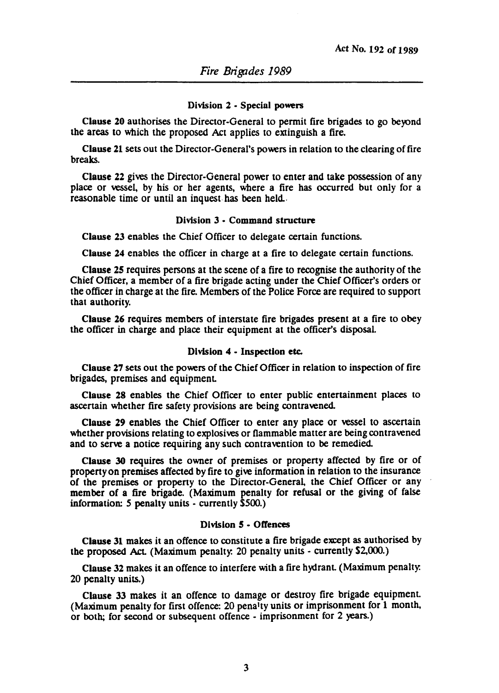### Division 2 - Special powers

Clause 20 authorises the Director-General to permit fire brigades to go beyond the areas to which the proposed Act applies to extinguish a fire.

Clause 21 sets out the Director-General's powers in relation to the clearing of fire breaks.

Clause 22 gives the Director-General power to enter and take possession of any place or vessel, by his or her agents, where a fire has occurred but only for a reasonable time or until an inquest has been held.

### Division 3 - Command structure

Clause 23 enables the Chief Officer to delegate certain functions.

Clause 24 enables the officer in charge at a fire to delegate certain functions.

Clause 25 requires persons at the scene of a fire to recognise the authority of the Chief Officer, a member of a fire brigade acting under the Chief Officer's orders or the officer in charge at the fire. Members of the Police Force are required to support that authority.

Clause 26 requires members of interstate fire brigades present at a fire to obey the officer in charge and place their equipment at the officer's disposal.

#### Division 4 - Inspection etc.

Clause 27 sets out the powers of the Chief Officer in relation to inspection of fire brigades, premises and equipment

Clause 28 enables the Chief Officer to enter public entertainment places to ascertain whether fire safety provisions are being contravened

Clause 29 enables the Chief Officer to enter any place or vessel to ascertain whether provisions relating to explosives or flammable matter are being contravened and to serve a notice requiring any such contravention to be remedied

Clause 30 requires the owner of premises or propeny affected by fire or of propenyon premises affected by fire to give information in relation to the insurance of the premises or propeny to the Director-General, the Chief Officer or any member of a fire brigade. (Maximum penalty for refusal or the giving of false information: 5 penalty units - currently \$500.)

### Division 5 - Offences

Clause 31 makes it an offence to constitute a fire brigade except as authorised by the proposed Act (Maximum penalty. 20 penalty units - currently \$2,000.)

Clause 32 makes it an offence to interfere with a fire hydrant (Maximum penalty. 20 penalty units.)

Clause 33 makes it an offence to damage or destroy fire brigade equipment. (Maximum penalty for first offence: 20 penalty units or imprisonment for 1 month, or both; for second or subsequent offence - imprisonment for 2 years.)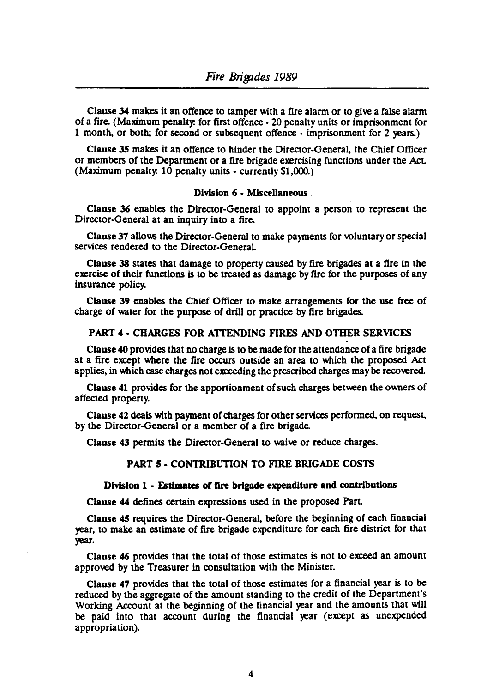Clause 34 makes it an offence to tamper with a fire alarm or to give a false alarm of a fire. (Maximum penalty. for first offence - 20 penalty units or imprisonment for 1 month, or both; for second or sUbsequent offence - imprisonment for 2 years.)

Clause 35 makes it an offence to hinder the Director-General, the Chief Officer or members of the Department or a fire brigade exercising functions under the Act. (Maximum penalty. 10 penalty units - currently \$1,000.)

## Division 6 - Miscellaneous .

Clause 36 enables the Director-General to appoint a person to represent the Director-General at an inquiry into a fire.

Clause 37 allows the Director-General to make payments for voluntary or special services rendered to the Director-GeneraL

Clause 38 states that damage to property caused by fire brigades at a fire in the exercise of their functions is to be treated as damage by fire for the purposes of any insurance policy.

Clause 39 enables the Chief Officer to make arrangements for the use free of charge of water for the purpose of drill or practice by fire brigades.

# PART 4 - CHARGES FOR ATTENDING FIRES AND OTHER SERVICES<br>Clause 40 provides that no charge is to be made for the attendance of a fire brigade

at a fire exrept where the fire occurs outside an area to which the proposed Act applies, in which case charges not exreeding the prescribed charges may be recovered.

Clause 41 provides for the apportionment of such charges between the owners of affected property.

Clause 42 deals with payment of charges for other services performed, on request, by the Director-General or a member of a fire brigade.

Clause 43 permits the Director-General to waive or reduce charges.

# PART 5 • CONTRIBUTION TO FIRE BRIGADE COSTS

### Division 1 - Estimates of fire brigade expenditure and contributions

Clause 44 defines certain expressions used in the proposed Part.

Clause 45 requires the Director-General, before the beginning of each financial year, to make an estimate of fire brigade expenditure for each fire district for that year.

Clause 46 provides that the total of those estimates is not to exreed an amount approved by the Treasurer in consultation with the Minister.

Clause 47 provides that the total of those estimates for a financial year is to be reduced by the aggregate of the amount standing to the credit of the Department's Working Account at the beginning of the financial year and the amounts that will be paid into that account during the financial year (exrept as unexpended appropriation).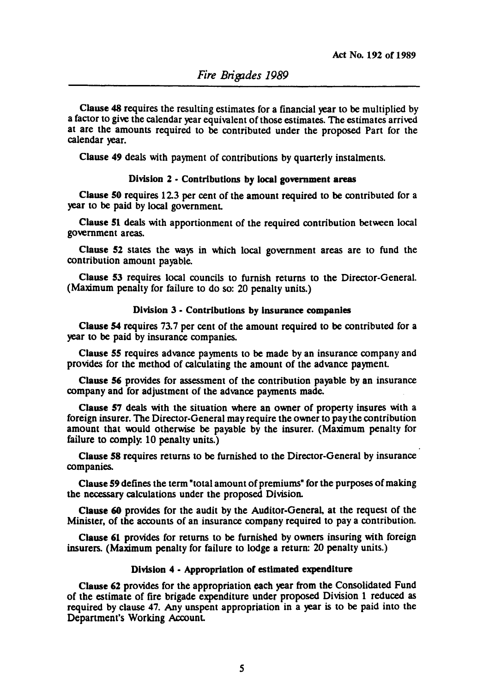Clause 48 requires the resulting estimates for a financial year to be multiplied by a factor to give the calendar year equivalent of those estimates. The estimates arrived at are the amounts required to be contributed under the proposed Part for the calendar year.

Clause 49 deals with payment of contributions by quarterly instalments.

### Division 2 • Contributions by local gowmment areas

Clause 50 requires 12.3 per cent of the amount required to be contributed for a year to be paid by local government

Cllause 51 deals with apportionment of the required contribution between local government areas.

Cllause 52 states the ways in which local government areas are to fund the contribution amount payable.

Clause 53 requires local councils to furnish returns to the Director-General. (Maximum penalty for failure to do so: 20 penalty units.)

## Division 3· Contributions by insurance companies

Clause 54 requires 73.7 per cent of the amount required to be contributed for a year to be paid by insurance companies.

Cliause 55 requires advance payments to be made by an insurance company and provides for the method of calculating the amount of the advance payment

Clause 56 provides for assessment of the contribution payable by an insurance company and for adjustment of the advance payments made.

Clause 57 deals with the situation where an owner of property insures with a foreign insurer. The Director-General may require the owner to pay the contribution amount that would otherwise be payable by the insurer. (Maximum penalty for failure to comply. 10 penalty units.)

Cllause 58 requires returns to be furnished to the Director-General by insurance companies.

Clause 59 defines the term "total amount of premiums" for the purposes of making the necessary calculations under the proposed Division.

Clause 60 provides for the audit by the Auditor·General. at the request of the Minister. of the accounts of an insurance company required to pay a contribution.

Clause 61 provides for returns to be furnished by owners insuring with foreign insurers. (Maximum penalty for failure to lodge a return: 20 penalty units.)

### Division 4 • Appropriation or estimated expenditure

Cllause 62 provides for the appropriation each year from the Consolidated Fund of the estimate of fire brigade expenditure under proposed Division 1 reduced as required by clause 47. Any unspent appropriation in a year is to be paid into the Department's Working Account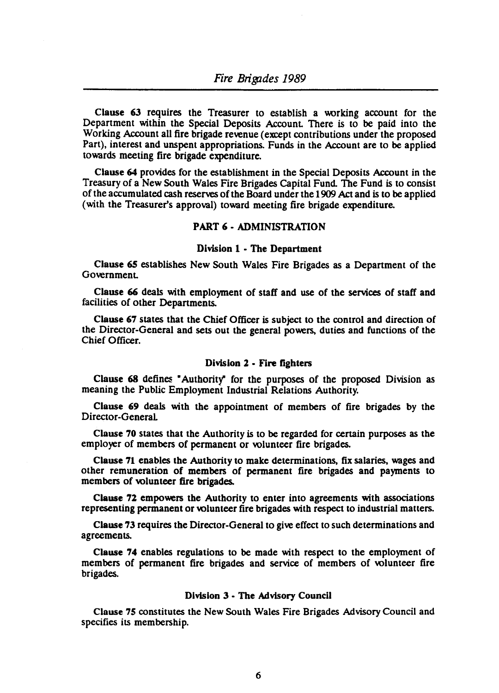Clause 63 requires the Treasurer to establish a working account for the Department within the Special Deposits Account There is to be paid into the Working Account all fire brigade revenue (except contributions under the proposed Part), interest and unspent appropriations. Funds in the Account are to be applied towards meeting fire brigade expenditure.

Clause 64 provides for the establishment in the Special Deposits Account in the Treasury of a New South Wales Fire Brigades Capital Fund. The Fund is to consist of the accumulated cash reserves of the Board under the 1909 Act and is to be applied (with the Treasurer's approval) toward meeting fire brigade expenditure.

### PART 6 - ADMINISTRATION

### Division 1 - The Department

Clause 6S establishes New South Wales Fire Brigades as a Department of the Government

Clause 66 deals with employment of staff and use of the services of staff and facilities of other Departments.

Clause 67 states that the Chief Officer is subject to the control and direction of the Director-General and sets out the general powers, duties and functions of the Chief Officer.

### Division 2 - Fire fighters

Clause 68 defines "Authority" for the purposes of the proposed Division as meaning the Public Employment Industrial Relations Authority.

Clause 69 deals with the appointment of members of fire brigades by the Director-General

Clause 70 states that the Authority is to be regarded for certain purposes as the employer of members of permanent or volunteer fire brigades.

Clause 71 enables the Authority to make determinations, fix salaries, wages and other remuneration of members of permanent fire brigades and payments to members of volunteer fire brigades.

Clause 72 empowers the Authority to enter into agreements with associations representing permanent or volunteer fire brigades with respect to industrial matters.

Clause 73 requires the Director-General to give effect to such determinations and agreements.

Clause 74 enables regulations to be made with respect to the employment of members of permanent fire brigades and service of members of volunteer fire brigades.

### Division 3 - The Advisory Council

Clause 7S constitutes the New South Wales Fire Brigades Advisory Council and specifies its membership.